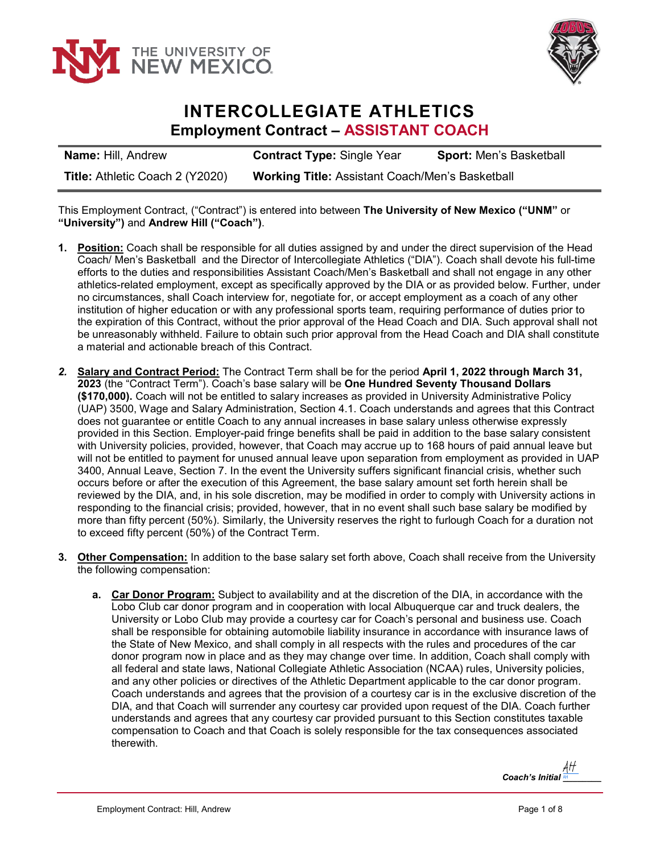



### **INTERCOLLEGIATE ATHLETICS Employment Contract – ASSISTANT COACH**

| <b>Name: Hill, Andrew</b>       | <b>Contract Type: Single Year</b>                      | <b>Sport: Men's Basketball</b> |
|---------------------------------|--------------------------------------------------------|--------------------------------|
| Title: Athletic Coach 2 (Y2020) | <b>Working Title: Assistant Coach/Men's Basketball</b> |                                |

This Employment Contract, ("Contract") is entered into between **The University of New Mexico ("UNM"** or **"University")** and **Andrew Hill ("Coach")**.

- **1. Position:** Coach shall be responsible for all duties assigned by and under the direct supervision of the Head Coach/ Men's Basketball and the Director of Intercollegiate Athletics ("DIA"). Coach shall devote his full-time efforts to the duties and responsibilities Assistant Coach/Men's Basketball and shall not engage in any other athletics-related employment, except as specifically approved by the DIA or as provided below. Further, under no circumstances, shall Coach interview for, negotiate for, or accept employment as a coach of any other institution of higher education or with any professional sports team, requiring performance of duties prior to the expiration of this Contract, without the prior approval of the Head Coach and DIA. Such approval shall not be unreasonably withheld. Failure to obtain such prior approval from the Head Coach and DIA shall constitute a material and actionable breach of this Contract.
- *2.* **Salary and Contract Period:** The Contract Term shall be for the period **April 1, 2022 through March 31, 2023** (the "Contract Term"). Coach's base salary will be **One Hundred Seventy Thousand Dollars (\$170,000).** Coach will not be entitled to salary increases as provided in University Administrative Policy (UAP) 3500, Wage and Salary Administration, Section 4.1. Coach understands and agrees that this Contract does not guarantee or entitle Coach to any annual increases in base salary unless otherwise expressly provided in this Section. Employer-paid fringe benefits shall be paid in addition to the base salary consistent with University policies, provided, however, that Coach may accrue up to 168 hours of paid annual leave but will not be entitled to payment for unused annual leave upon separation from employment as provided in UAP 3400, Annual Leave, Section 7. In the event the University suffers significant financial crisis, whether such occurs before or after the execution of this Agreement, the base salary amount set forth herein shall be reviewed by the DIA, and, in his sole discretion, may be modified in order to comply with University actions in responding to the financial crisis; provided, however, that in no event shall such base salary be modified by more than fifty percent (50%). Similarly, the University reserves the right to furlough Coach for a duration not to exceed fifty percent (50%) of the Contract Term.
- **3. Other Compensation:** In addition to the base salary set forth above, Coach shall receive from the University the following compensation:
	- **a. Car Donor Program:** Subject to availability and at the discretion of the DIA, in accordance with the Lobo Club car donor program and in cooperation with local Albuquerque car and truck dealers, the University or Lobo Club may provide a courtesy car for Coach's personal and business use. Coach shall be responsible for obtaining automobile liability insurance in accordance with insurance laws of the State of New Mexico, and shall comply in all respects with the rules and procedures of the car donor program now in place and as they may change over time. In addition, Coach shall comply with all federal and state laws, National Collegiate Athletic Association (NCAA) rules, University policies, and any other policies or directives of the Athletic Department applicable to the car donor program. Coach understands and agrees that the provision of a courtesy car is in the exclusive discretion of the DIA, and that Coach will surrender any courtesy car provided upon request of the DIA. Coach further understands and agrees that any courtesy car provided pursuant to this Section constitutes taxable compensation to Coach and that Coach is solely responsible for the tax consequences associated therewith.

*Coach's Initial \_\_\_\_\_\_\_\_* -H AH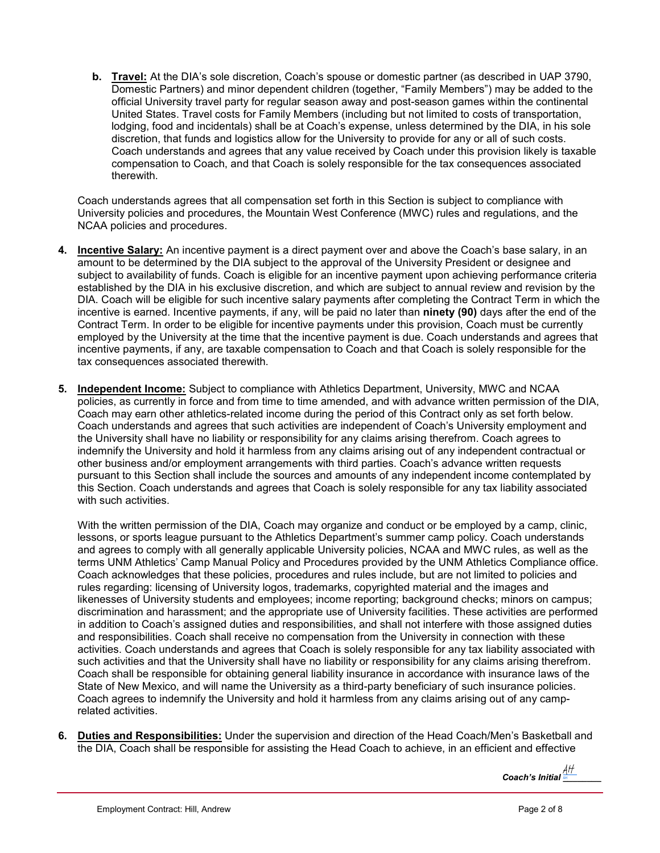**b. Travel:** At the DIA's sole discretion, Coach's spouse or domestic partner (as described in UAP 3790, Domestic Partners) and minor dependent children (together, "Family Members") may be added to the official University travel party for regular season away and post-season games within the continental United States. Travel costs for Family Members (including but not limited to costs of transportation, lodging, food and incidentals) shall be at Coach's expense, unless determined by the DIA, in his sole discretion, that funds and logistics allow for the University to provide for any or all of such costs. Coach understands and agrees that any value received by Coach under this provision likely is taxable compensation to Coach, and that Coach is solely responsible for the tax consequences associated therewith.

Coach understands agrees that all compensation set forth in this Section is subject to compliance with University policies and procedures, the Mountain West Conference (MWC) rules and regulations, and the NCAA policies and procedures.

- **4. Incentive Salary:** An incentive payment is a direct payment over and above the Coach's base salary, in an amount to be determined by the DIA subject to the approval of the University President or designee and subject to availability of funds. Coach is eligible for an incentive payment upon achieving performance criteria established by the DIA in his exclusive discretion, and which are subject to annual review and revision by the DIA. Coach will be eligible for such incentive salary payments after completing the Contract Term in which the incentive is earned. Incentive payments, if any, will be paid no later than **ninety (90)** days after the end of the Contract Term. In order to be eligible for incentive payments under this provision, Coach must be currently employed by the University at the time that the incentive payment is due. Coach understands and agrees that incentive payments, if any, are taxable compensation to Coach and that Coach is solely responsible for the tax consequences associated therewith.
- **5. Independent Income:** Subject to compliance with Athletics Department, University, MWC and NCAA policies, as currently in force and from time to time amended, and with advance written permission of the DIA, Coach may earn other athletics-related income during the period of this Contract only as set forth below. Coach understands and agrees that such activities are independent of Coach's University employment and the University shall have no liability or responsibility for any claims arising therefrom. Coach agrees to indemnify the University and hold it harmless from any claims arising out of any independent contractual or other business and/or employment arrangements with third parties. Coach's advance written requests pursuant to this Section shall include the sources and amounts of any independent income contemplated by this Section. Coach understands and agrees that Coach is solely responsible for any tax liability associated with such activities.

With the written permission of the DIA, Coach may organize and conduct or be employed by a camp, clinic, lessons, or sports league pursuant to the Athletics Department's summer camp policy. Coach understands and agrees to comply with all generally applicable University policies, NCAA and MWC rules, as well as the terms UNM Athletics' Camp Manual Policy and Procedures provided by the UNM Athletics Compliance office. Coach acknowledges that these policies, procedures and rules include, but are not limited to policies and rules regarding: licensing of University logos, trademarks, copyrighted material and the images and likenesses of University students and employees; income reporting; background checks; minors on campus; discrimination and harassment; and the appropriate use of University facilities. These activities are performed in addition to Coach's assigned duties and responsibilities, and shall not interfere with those assigned duties and responsibilities. Coach shall receive no compensation from the University in connection with these activities. Coach understands and agrees that Coach is solely responsible for any tax liability associated with such activities and that the University shall have no liability or responsibility for any claims arising therefrom. Coach shall be responsible for obtaining general liability insurance in accordance with insurance laws of the State of New Mexico, and will name the University as a third-party beneficiary of such insurance policies. Coach agrees to indemnify the University and hold it harmless from any claims arising out of any camprelated activities.

**6. Duties and Responsibilities:** Under the supervision and direction of the Head Coach/Men's Basketball and the DIA, Coach shall be responsible for assisting the Head Coach to achieve, in an efficient and effective

*Coach's Initial* <u>AH</u>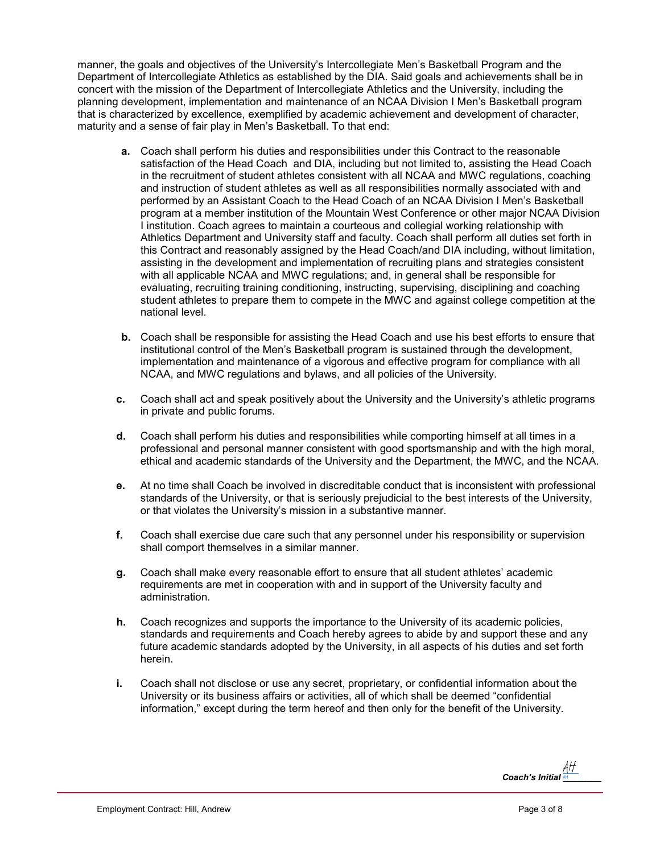manner, the goals and objectives of the University's Intercollegiate Men's Basketball Program and the Department of Intercollegiate Athletics as established by the DIA. Said goals and achievements shall be in concert with the mission of the Department of Intercollegiate Athletics and the University, including the planning development, implementation and maintenance of an NCAA Division I Men's Basketball program that is characterized by excellence, exemplified by academic achievement and development of character, maturity and a sense of fair play in Men's Basketball. To that end:

- **a.** Coach shall perform his duties and responsibilities under this Contract to the reasonable satisfaction of the Head Coach and DIA, including but not limited to, assisting the Head Coach in the recruitment of student athletes consistent with all NCAA and MWC regulations, coaching and instruction of student athletes as well as all responsibilities normally associated with and performed by an Assistant Coach to the Head Coach of an NCAA Division I Men's Basketball program at a member institution of the Mountain West Conference or other major NCAA Division I institution. Coach agrees to maintain a courteous and collegial working relationship with Athletics Department and University staff and faculty. Coach shall perform all duties set forth in this Contract and reasonably assigned by the Head Coach/and DIA including, without limitation, assisting in the development and implementation of recruiting plans and strategies consistent with all applicable NCAA and MWC regulations; and, in general shall be responsible for evaluating, recruiting training conditioning, instructing, supervising, disciplining and coaching student athletes to prepare them to compete in the MWC and against college competition at the national level.
- **b.** Coach shall be responsible for assisting the Head Coach and use his best efforts to ensure that institutional control of the Men's Basketball program is sustained through the development, implementation and maintenance of a vigorous and effective program for compliance with all NCAA, and MWC regulations and bylaws, and all policies of the University.
- **c.** Coach shall act and speak positively about the University and the University's athletic programs in private and public forums.
- **d.** Coach shall perform his duties and responsibilities while comporting himself at all times in a professional and personal manner consistent with good sportsmanship and with the high moral, ethical and academic standards of the University and the Department, the MWC, and the NCAA.
- **e.** At no time shall Coach be involved in discreditable conduct that is inconsistent with professional standards of the University, or that is seriously prejudicial to the best interests of the University, or that violates the University's mission in a substantive manner.
- **f.** Coach shall exercise due care such that any personnel under his responsibility or supervision shall comport themselves in a similar manner.
- **g.** Coach shall make every reasonable effort to ensure that all student athletes' academic requirements are met in cooperation with and in support of the University faculty and administration.
- **h.** Coach recognizes and supports the importance to the University of its academic policies, standards and requirements and Coach hereby agrees to abide by and support these and any future academic standards adopted by the University, in all aspects of his duties and set forth herein.
- **i.** Coach shall not disclose or use any secret, proprietary, or confidential information about the University or its business affairs or activities, all of which shall be deemed "confidential information," except during the term hereof and then only for the benefit of the University.

*Coach's Initial \_\_\_\_\_\_\_\_* -H AH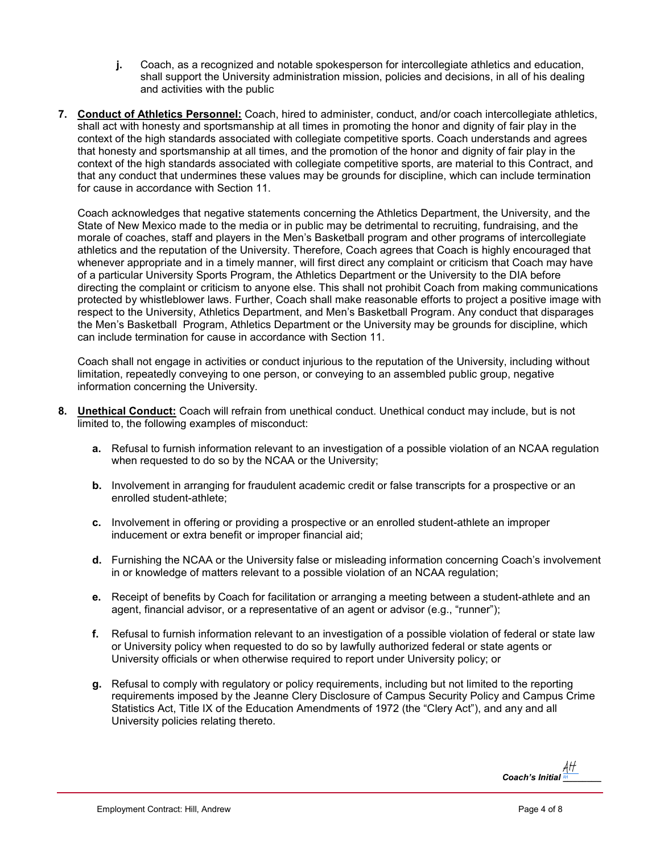- **j.** Coach, as a recognized and notable spokesperson for intercollegiate athletics and education, shall support the University administration mission, policies and decisions, in all of his dealing and activities with the public
- **7. Conduct of Athletics Personnel:** Coach, hired to administer, conduct, and/or coach intercollegiate athletics, shall act with honesty and sportsmanship at all times in promoting the honor and dignity of fair play in the context of the high standards associated with collegiate competitive sports. Coach understands and agrees that honesty and sportsmanship at all times, and the promotion of the honor and dignity of fair play in the context of the high standards associated with collegiate competitive sports, are material to this Contract, and that any conduct that undermines these values may be grounds for discipline, which can include termination for cause in accordance with Section 11.

Coach acknowledges that negative statements concerning the Athletics Department, the University, and the State of New Mexico made to the media or in public may be detrimental to recruiting, fundraising, and the morale of coaches, staff and players in the Men's Basketball program and other programs of intercollegiate athletics and the reputation of the University. Therefore, Coach agrees that Coach is highly encouraged that whenever appropriate and in a timely manner, will first direct any complaint or criticism that Coach may have of a particular University Sports Program, the Athletics Department or the University to the DIA before directing the complaint or criticism to anyone else. This shall not prohibit Coach from making communications protected by whistleblower laws. Further, Coach shall make reasonable efforts to project a positive image with respect to the University, Athletics Department, and Men's Basketball Program. Any conduct that disparages the Men's Basketball Program, Athletics Department or the University may be grounds for discipline, which can include termination for cause in accordance with Section 11.

Coach shall not engage in activities or conduct injurious to the reputation of the University, including without limitation, repeatedly conveying to one person, or conveying to an assembled public group, negative information concerning the University.

- **8. Unethical Conduct:** Coach will refrain from unethical conduct. Unethical conduct may include, but is not limited to, the following examples of misconduct:
	- **a.** Refusal to furnish information relevant to an investigation of a possible violation of an NCAA regulation when requested to do so by the NCAA or the University;
	- **b.** Involvement in arranging for fraudulent academic credit or false transcripts for a prospective or an enrolled student-athlete;
	- **c.** Involvement in offering or providing a prospective or an enrolled student-athlete an improper inducement or extra benefit or improper financial aid;
	- **d.** Furnishing the NCAA or the University false or misleading information concerning Coach's involvement in or knowledge of matters relevant to a possible violation of an NCAA regulation;
	- **e.** Receipt of benefits by Coach for facilitation or arranging a meeting between a student-athlete and an agent, financial advisor, or a representative of an agent or advisor (e.g., "runner");
	- **f.** Refusal to furnish information relevant to an investigation of a possible violation of federal or state law or University policy when requested to do so by lawfully authorized federal or state agents or University officials or when otherwise required to report under University policy; or
	- **g.** Refusal to comply with regulatory or policy requirements, including but not limited to the reporting requirements imposed by the Jeanne Clery Disclosure of Campus Security Policy and Campus Crime Statistics Act, Title IX of the Education Amendments of 1972 (the "Clery Act"), and any and all University policies relating thereto.

*Coach's Initial* <u>새</u>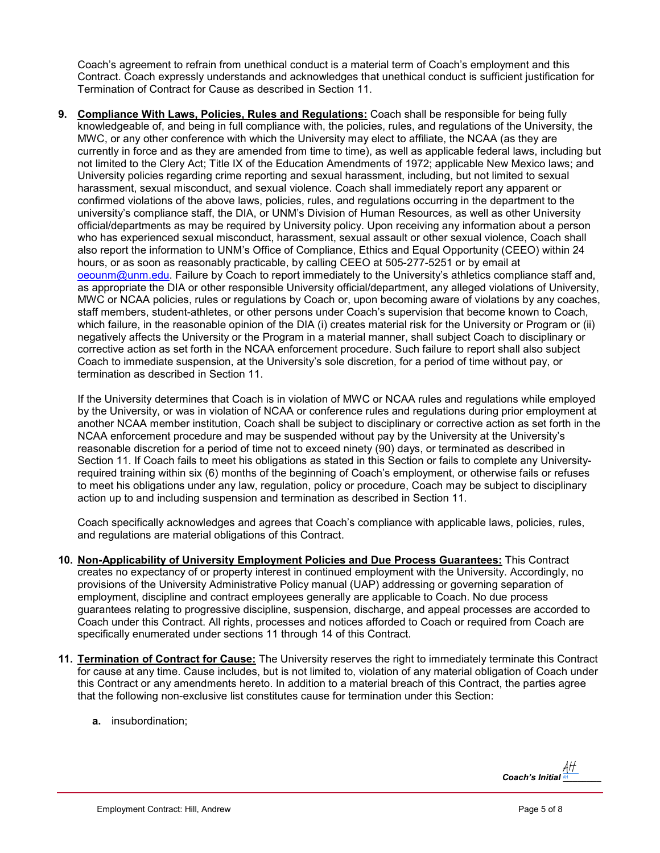Coach's agreement to refrain from unethical conduct is a material term of Coach's employment and this Contract. Coach expressly understands and acknowledges that unethical conduct is sufficient justification for Termination of Contract for Cause as described in Section 11.

**9. Compliance With Laws, Policies, Rules and Regulations:** Coach shall be responsible for being fully knowledgeable of, and being in full compliance with, the policies, rules, and regulations of the University, the MWC, or any other conference with which the University may elect to affiliate, the NCAA (as they are currently in force and as they are amended from time to time), as well as applicable federal laws, including but not limited to the Clery Act; Title IX of the Education Amendments of 1972; applicable New Mexico laws; and University policies regarding crime reporting and sexual harassment, including, but not limited to sexual harassment, sexual misconduct, and sexual violence. Coach shall immediately report any apparent or confirmed violations of the above laws, policies, rules, and regulations occurring in the department to the university's compliance staff, the DIA, or UNM's Division of Human Resources, as well as other University official/departments as may be required by University policy. Upon receiving any information about a person who has experienced sexual misconduct, harassment, sexual assault or other sexual violence, Coach shall also report the information to UNM's Office of Compliance, Ethics and Equal Opportunity (CEEO) within 24 hours, or as soon as reasonably practicable, by calling CEEO at 505-277-5251 or by email at oeounm@unm.edu. Failure by Coach to report immediately to the University's athletics compliance staff and, as appropriate the DIA or other responsible University official/department, any alleged violations of University, MWC or NCAA policies, rules or regulations by Coach or, upon becoming aware of violations by any coaches, staff members, student-athletes, or other persons under Coach's supervision that become known to Coach, which failure, in the reasonable opinion of the DIA (i) creates material risk for the University or Program or (ii) negatively affects the University or the Program in a material manner, shall subject Coach to disciplinary or corrective action as set forth in the NCAA enforcement procedure. Such failure to report shall also subject Coach to immediate suspension, at the University's sole discretion, for a period of time without pay, or termination as described in Section 11.

If the University determines that Coach is in violation of MWC or NCAA rules and regulations while employed by the University, or was in violation of NCAA or conference rules and regulations during prior employment at another NCAA member institution, Coach shall be subject to disciplinary or corrective action as set forth in the NCAA enforcement procedure and may be suspended without pay by the University at the University's reasonable discretion for a period of time not to exceed ninety (90) days, or terminated as described in Section 11. If Coach fails to meet his obligations as stated in this Section or fails to complete any Universityrequired training within six (6) months of the beginning of Coach's employment, or otherwise fails or refuses to meet his obligations under any law, regulation, policy or procedure, Coach may be subject to disciplinary action up to and including suspension and termination as described in Section 11.

Coach specifically acknowledges and agrees that Coach's compliance with applicable laws, policies, rules, and regulations are material obligations of this Contract.

- **10. Non-Applicability of University Employment Policies and Due Process Guarantees:** This Contract creates no expectancy of or property interest in continued employment with the University. Accordingly, no provisions of the University Administrative Policy manual (UAP) addressing or governing separation of employment, discipline and contract employees generally are applicable to Coach. No due process guarantees relating to progressive discipline, suspension, discharge, and appeal processes are accorded to Coach under this Contract. All rights, processes and notices afforded to Coach or required from Coach are specifically enumerated under sections 11 through 14 of this Contract.
- **11. Termination of Contract for Cause:** The University reserves the right to immediately terminate this Contract for cause at any time. Cause includes, but is not limited to, violation of any material obligation of Coach under this Contract or any amendments hereto. In addition to a material breach of this Contract, the parties agree that the following non-exclusive list constitutes cause for termination under this Section:
	- **a.** insubordination;

*Coach's Initial \_\_\_\_\_\_\_\_* -H AH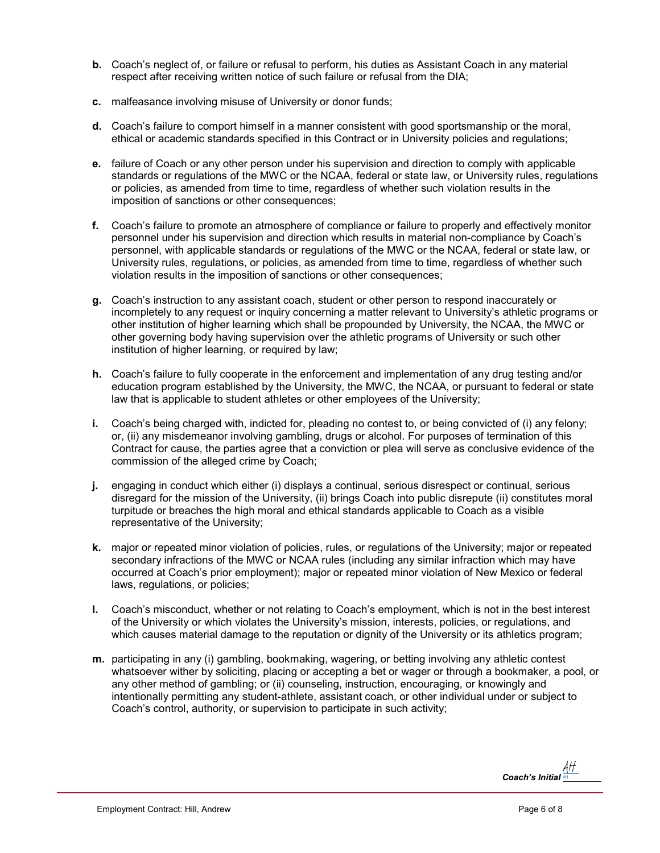- **b.** Coach's neglect of, or failure or refusal to perform, his duties as Assistant Coach in any material respect after receiving written notice of such failure or refusal from the DIA;
- **c.** malfeasance involving misuse of University or donor funds;
- **d.** Coach's failure to comport himself in a manner consistent with good sportsmanship or the moral, ethical or academic standards specified in this Contract or in University policies and regulations;
- **e.** failure of Coach or any other person under his supervision and direction to comply with applicable standards or regulations of the MWC or the NCAA, federal or state law, or University rules, regulations or policies, as amended from time to time, regardless of whether such violation results in the imposition of sanctions or other consequences;
- **f.** Coach's failure to promote an atmosphere of compliance or failure to properly and effectively monitor personnel under his supervision and direction which results in material non-compliance by Coach's personnel, with applicable standards or regulations of the MWC or the NCAA, federal or state law, or University rules, regulations, or policies, as amended from time to time, regardless of whether such violation results in the imposition of sanctions or other consequences;
- **g.** Coach's instruction to any assistant coach, student or other person to respond inaccurately or incompletely to any request or inquiry concerning a matter relevant to University's athletic programs or other institution of higher learning which shall be propounded by University, the NCAA, the MWC or other governing body having supervision over the athletic programs of University or such other institution of higher learning, or required by law;
- **h.** Coach's failure to fully cooperate in the enforcement and implementation of any drug testing and/or education program established by the University, the MWC, the NCAA, or pursuant to federal or state law that is applicable to student athletes or other employees of the University;
- **i.** Coach's being charged with, indicted for, pleading no contest to, or being convicted of (i) any felony; or, (ii) any misdemeanor involving gambling, drugs or alcohol. For purposes of termination of this Contract for cause, the parties agree that a conviction or plea will serve as conclusive evidence of the commission of the alleged crime by Coach;
- **j.** engaging in conduct which either (i) displays a continual, serious disrespect or continual, serious disregard for the mission of the University, (ii) brings Coach into public disrepute (ii) constitutes moral turpitude or breaches the high moral and ethical standards applicable to Coach as a visible representative of the University;
- **k.** major or repeated minor violation of policies, rules, or regulations of the University; major or repeated secondary infractions of the MWC or NCAA rules (including any similar infraction which may have occurred at Coach's prior employment); major or repeated minor violation of New Mexico or federal laws, regulations, or policies;
- **l.** Coach's misconduct, whether or not relating to Coach's employment, which is not in the best interest of the University or which violates the University's mission, interests, policies, or regulations, and which causes material damage to the reputation or dignity of the University or its athletics program;
- **m.** participating in any (i) gambling, bookmaking, wagering, or betting involving any athletic contest whatsoever wither by soliciting, placing or accepting a bet or wager or through a bookmaker, a pool, or any other method of gambling; or (ii) counseling, instruction, encouraging, or knowingly and intentionally permitting any student-athlete, assistant coach, or other individual under or subject to Coach's control, authority, or supervision to participate in such activity;

*Coach's Initial \_\_\_\_\_\_\_\_* -H AH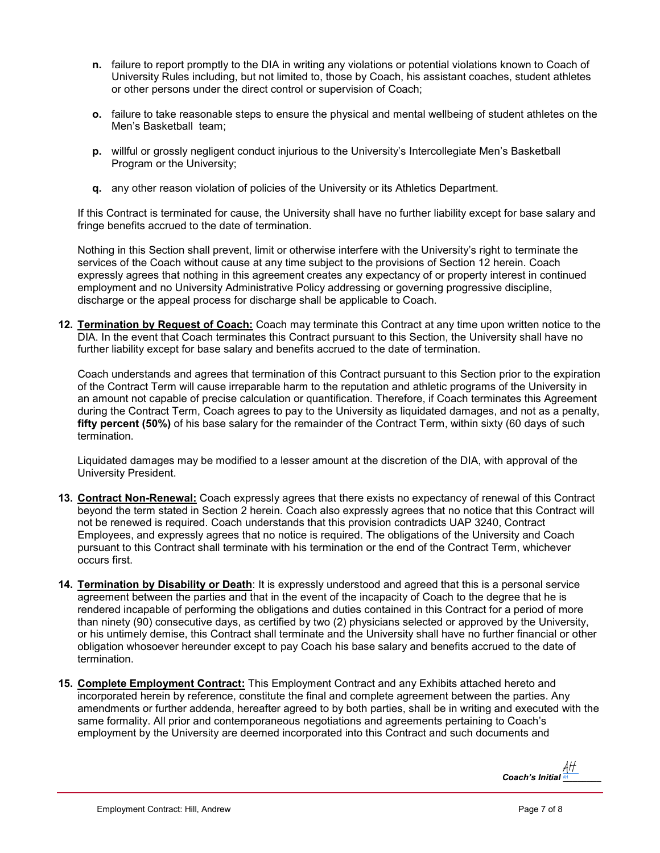- **n.** failure to report promptly to the DIA in writing any violations or potential violations known to Coach of University Rules including, but not limited to, those by Coach, his assistant coaches, student athletes or other persons under the direct control or supervision of Coach;
- **o.** failure to take reasonable steps to ensure the physical and mental wellbeing of student athletes on the Men's Basketball team;
- **p.** willful or grossly negligent conduct injurious to the University's Intercollegiate Men's Basketball Program or the University;
- **q.** any other reason violation of policies of the University or its Athletics Department.

If this Contract is terminated for cause, the University shall have no further liability except for base salary and fringe benefits accrued to the date of termination.

Nothing in this Section shall prevent, limit or otherwise interfere with the University's right to terminate the services of the Coach without cause at any time subject to the provisions of Section 12 herein. Coach expressly agrees that nothing in this agreement creates any expectancy of or property interest in continued employment and no University Administrative Policy addressing or governing progressive discipline, discharge or the appeal process for discharge shall be applicable to Coach.

**12. Termination by Request of Coach:** Coach may terminate this Contract at any time upon written notice to the DIA. In the event that Coach terminates this Contract pursuant to this Section, the University shall have no further liability except for base salary and benefits accrued to the date of termination.

Coach understands and agrees that termination of this Contract pursuant to this Section prior to the expiration of the Contract Term will cause irreparable harm to the reputation and athletic programs of the University in an amount not capable of precise calculation or quantification. Therefore, if Coach terminates this Agreement during the Contract Term, Coach agrees to pay to the University as liquidated damages, and not as a penalty, **fifty percent (50%)** of his base salary for the remainder of the Contract Term, within sixty (60 days of such termination.

Liquidated damages may be modified to a lesser amount at the discretion of the DIA, with approval of the University President.

- **13. Contract Non-Renewal:** Coach expressly agrees that there exists no expectancy of renewal of this Contract beyond the term stated in Section 2 herein. Coach also expressly agrees that no notice that this Contract will not be renewed is required. Coach understands that this provision contradicts UAP 3240, Contract Employees, and expressly agrees that no notice is required. The obligations of the University and Coach pursuant to this Contract shall terminate with his termination or the end of the Contract Term, whichever occurs first.
- **14. Termination by Disability or Death**: It is expressly understood and agreed that this is a personal service agreement between the parties and that in the event of the incapacity of Coach to the degree that he is rendered incapable of performing the obligations and duties contained in this Contract for a period of more than ninety (90) consecutive days, as certified by two (2) physicians selected or approved by the University, or his untimely demise, this Contract shall terminate and the University shall have no further financial or other obligation whosoever hereunder except to pay Coach his base salary and benefits accrued to the date of termination.
- **15. Complete Employment Contract:** This Employment Contract and any Exhibits attached hereto and incorporated herein by reference, constitute the final and complete agreement between the parties. Any amendments or further addenda, hereafter agreed to by both parties, shall be in writing and executed with the same formality. All prior and contemporaneous negotiations and agreements pertaining to Coach's employment by the University are deemed incorporated into this Contract and such documents and

*Coach's Initial* <u>새</u>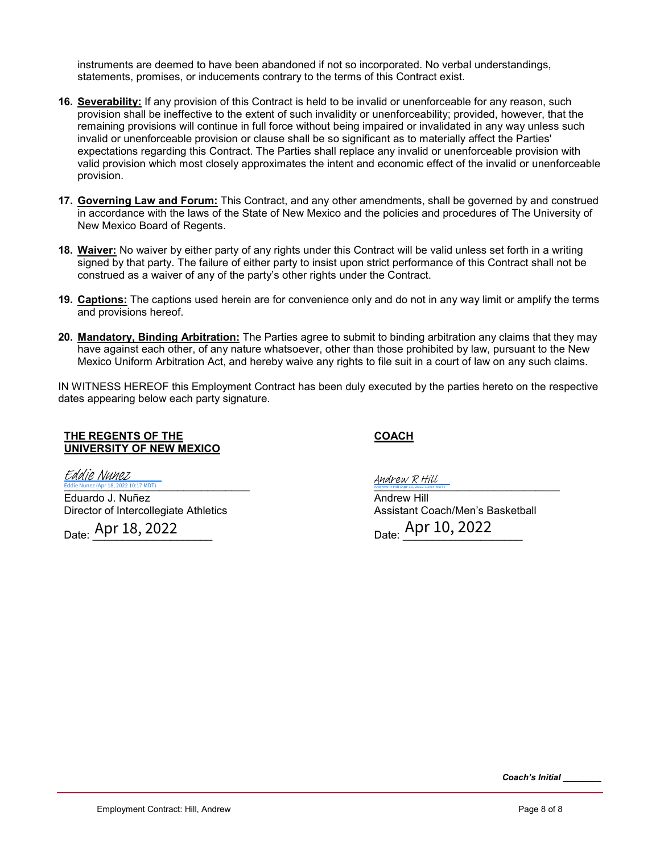instruments are deemed to have been abandoned if not so incorporated. No verbal understandings, statements, promises, or inducements contrary to the terms of this Contract exist.

- **16. Severability:** If any provision of this Contract is held to be invalid or unenforceable for any reason, such provision shall be ineffective to the extent of such invalidity or unenforceability; provided, however, that the remaining provisions will continue in full force without being impaired or invalidated in any way unless such invalid or unenforceable provision or clause shall be so significant as to materially affect the Parties' expectations regarding this Contract. The Parties shall replace any invalid or unenforceable provision with valid provision which most closely approximates the intent and economic effect of the invalid or unenforceable provision.
- **17. Governing Law and Forum:** This Contract, and any other amendments, shall be governed by and construed in accordance with the laws of the State of New Mexico and the policies and procedures of The University of New Mexico Board of Regents.
- **18. Waiver:** No waiver by either party of any rights under this Contract will be valid unless set forth in a writing signed by that party. The failure of either party to insist upon strict performance of this Contract shall not be construed as a waiver of any of the party's other rights under the Contract.
- **19. Captions:** The captions used herein are for convenience only and do not in any way limit or amplify the terms and provisions hereof.
- **20. Mandatory, Binding Arbitration:** The Parties agree to submit to binding arbitration any claims that they may have against each other, of any nature whatsoever, other than those prohibited by law, pursuant to the New Mexico Uniform Arbitration Act, and hereby waive any rights to file suit in a court of law on any such claims.

IN WITNESS HEREOF this Employment Contract has been duly executed by the parties hereto on the respective dates appearing below each party signature.

#### **THE REGENTS OF THE UNIVERSITY OF NEW MEXICO**

#### **COACH**

[\\_\\_\\_\\_\\_\\_\\_\\_\\_\\_\\_\\_\\_\\_\\_\\_\\_\\_\\_\\_\\_\\_\\_\\_\\_\\_\\_\\_\\_\\_\\_](https://secure.na2.echosign.com/verifier?tx=CBJCHBCAABAAzOAGjWAyl6-bBYKmmvvFOL7-bBj6b57N) Eddie Nunez (Apr 18, 2022 10:17 MDT) Eddie Nunez

Eduardo J. Nuñez Director of Intercollegiate Athletics

Date: <u>Apr 18, 2022</u>

 $\frac{\text{And} \text{rew R} \text{ Hill}}{\text{A}_{\text{All}}(kpr10,202213,54 \text{ MDT})}$ 

Andrew Hill Assistant Coach/Men's Basketball Date: <u>Apr 10, 2022</u>